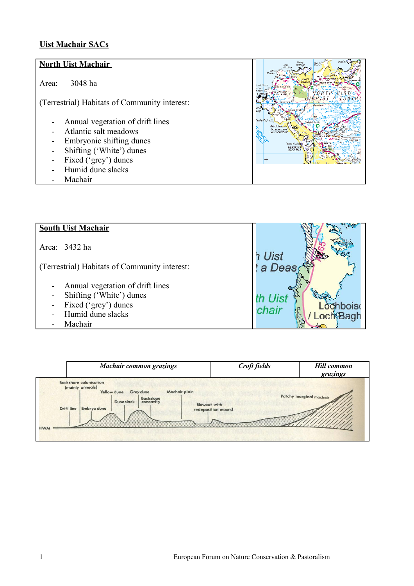## **Uist Machair SACs**

## **North Uist Machair**  Area: 3048 ha NORTH UIST (Terrestrial) Habitats of Community interest: - Annual vegetation of drift lines - Atlantic salt meadows - Embryonic shifting dunes - Shifting ('White') dunes - Fixed ('grey') dunes - Humid dune slacks Machair



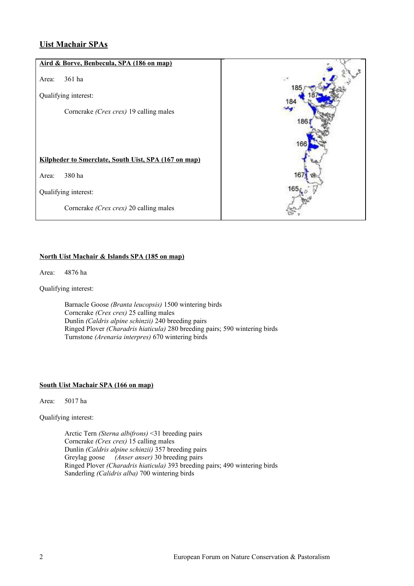### **Uist Machair SPAs**

# **Aird & Borve, Benbecula, SPA (186 on map)** Area: 361 ha 185 Qualifying interest: Corncrake *(Crex crex)* 19 calling males 18 **Kilpheder to Smerclate, South Uist, SPA (167 on map)** Area: 380 ha Qualifying interest: Corncrake *(Crex crex)* 20 calling males

### **North Uist Machair & Islands SPA (185 on map)**

Area: 4876 ha

Qualifying interest:

Barnacle Goose *(Branta leucopsis)* 1500 wintering birds Corncrake *(Crex crex)* 25 calling males Dunlin *(Caldris alpine schinzii)* 240 breeding pairs Ringed Plover *(Charadris hiaticula)* 280 breeding pairs; 590 wintering birds Turnstone *(Arenaria interpres)* 670 wintering birds

#### **South Uist Machair SPA (166 on map)**

Area: 5017 ha

Qualifying interest:

Arctic Tern *(Sterna albifrons)* <31 breeding pairs Corncrake *(Crex crex)* 15 calling males Dunlin *(Caldris alpine schinzii)* 357 breeding pairs Greylag goose *(Anser anser)* 30 breeding pairs Ringed Plover *(Charadris hiaticula)* 393 breeding pairs; 490 wintering birds Sanderling *(Calidris alba)* 700 wintering birds